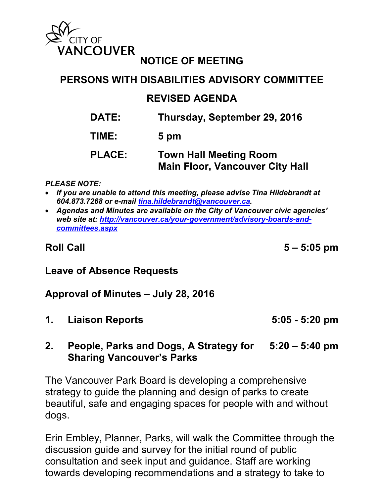

# **NOTICE OF MEETING**

# **PERSONS WITH DISABILITIES ADVISORY COMMITTEE**

### **REVISED AGENDA**

- **DATE: Thursday, September 29, 2016**
- **TIME: 5 pm**

### **PLACE: Town Hall Meeting Room Main Floor, Vancouver City Hall**

*PLEASE NOTE:*

- *If you are unable to attend this meeting, please advise Tina Hildebrandt at 604.873.7268 or e-mail [tina.hildebrandt@vancouver.ca.](mailto:tina.hildebrandt@vancouver.ca)*
- *Agendas and Minutes are available on the City of Vancouver civic agencies' web site at: [http://vancouver.ca/your-government/advisory-boards-and](http://vancouver.ca/your-government/advisory-boards-and-committees.aspx)[committees.aspx](http://vancouver.ca/your-government/advisory-boards-and-committees.aspx)*

**Roll Call 5 – 5:05 pm**

## **Leave of Absence Requests**

#### **Approval of Minutes – July 28, 2016**

**1. Liaison Reports 5:05 - 5:20 pm**

## **2. People, Parks and Dogs, A Strategy for 5:20 – 5:40 pm Sharing Vancouver's Parks**

The Vancouver Park Board is developing a comprehensive strategy to guide the planning and design of parks to create beautiful, safe and engaging spaces for people with and without dogs.

Erin Embley, Planner, Parks, will walk the Committee through the discussion guide and survey for the initial round of public consultation and seek input and guidance. Staff are working towards developing recommendations and a strategy to take to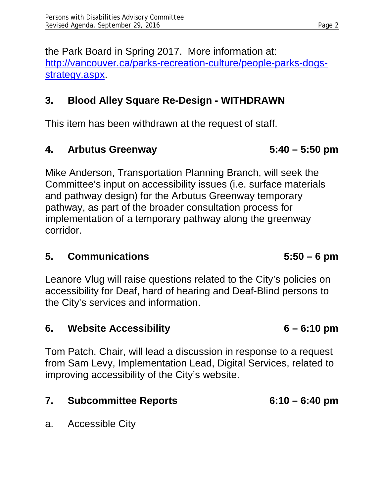the Park Board in Spring 2017. More information at: [http://vancouver.ca/parks-recreation-culture/people-parks-dogs](http://vancouver.ca/parks-recreation-culture/people-parks-dogs-strategy.aspx)[strategy.aspx.](http://vancouver.ca/parks-recreation-culture/people-parks-dogs-strategy.aspx)

# **3. Blood Alley Square Re-Design - WITHDRAWN**

This item has been withdrawn at the request of staff.

# **4. Arbutus Greenway 5:40 – 5:50 pm**

Mike Anderson, Transportation Planning Branch, will seek the Committee's input on accessibility issues (i.e. surface materials and pathway design) for the Arbutus Greenway temporary pathway, as part of the broader consultation process for implementation of a temporary pathway along the greenway corridor.

## **5. Communications 5:50 – 6 pm**

Leanore Vlug will raise questions related to the City's policies on accessibility for Deaf, hard of hearing and Deaf-Blind persons to the City's services and information.

## **6. Website Accessibility 6 – 6:10 pm**

Tom Patch, Chair, will lead a discussion in response to a request from Sam Levy, Implementation Lead, Digital Services, related to improving accessibility of the City's website.

# **7. Subcommittee Reports 6:10 – 6:40 pm**

a. Accessible City